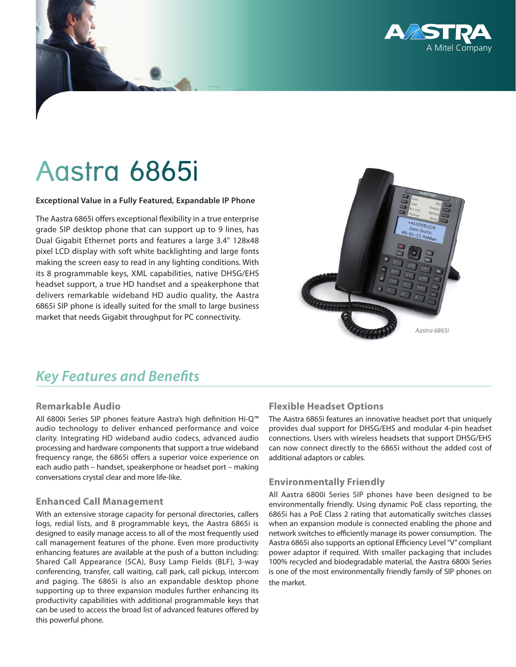

# Aastra 6865i

#### **Exceptional Value in a Fully Featured, Expandable IP Phone**

The Aastra 6865i offers exceptional flexibility in a true enterprise grade SIP desktop phone that can support up to 9 lines, has Dual Gigabit Ethernet ports and features a large 3.4" 128x48 pixel LCD display with soft white backlighting and large fonts making the screen easy to read in any lighting conditions. With its 8 programmable keys, XML capabilities, native DHSG/EHS headset support, a true HD handset and a speakerphone that delivers remarkable wideband HD audio quality, the Aastra 6865i SIP phone is ideally suited for the small to large business market that needs Gigabit throughput for PC connectivity.



# *Key Features and Benefits*

#### **Remarkable Audio**

All 6800i Series SIP phones feature Aastra's high definition Hi-Q™ audio technology to deliver enhanced performance and voice clarity. Integrating HD wideband audio codecs, advanced audio processing and hardware components that support a true wideband frequency range, the 6865i offers a superior voice experience on each audio path – handset, speakerphone or headset port – making conversations crystal clear and more life-like.

#### **Enhanced Call Management**

With an extensive storage capacity for personal directories, callers logs, redial lists, and 8 programmable keys, the Aastra 6865i is designed to easily manage access to all of the most frequently used call management features of the phone. Even more productivity enhancing features are available at the push of a button including: Shared Call Appearance (SCA), Busy Lamp Fields (BLF), 3-way conferencing, transfer, call waiting, call park, call pickup, intercom and paging. The 6865i is also an expandable desktop phone supporting up to three expansion modules further enhancing its productivity capabilities with additional programmable keys that can be used to access the broad list of advanced features offered by this powerful phone.

# **Flexible Headset Options**

The Aastra 6865i features an innovative headset port that uniquely provides dual support for DHSG/EHS and modular 4-pin headset connections. Users with wireless headsets that support DHSG/EHS can now connect directly to the 6865i without the added cost of additional adaptors or cables.

#### **Environmentally Friendly**

All Aastra 6800i Series SIP phones have been designed to be environmentally friendly. Using dynamic PoE class reporting, the 6865i has a PoE Class 2 rating that automatically switches classes when an expansion module is connected enabling the phone and network switches to efficiently manage its power consumption. The Aastra 6865i also supports an optional Efficiency Level "V" compliant power adaptor if required. With smaller packaging that includes 100% recycled and biodegradable material, the Aastra 6800i Series is one of the most environmentally friendly family of SIP phones on the market.